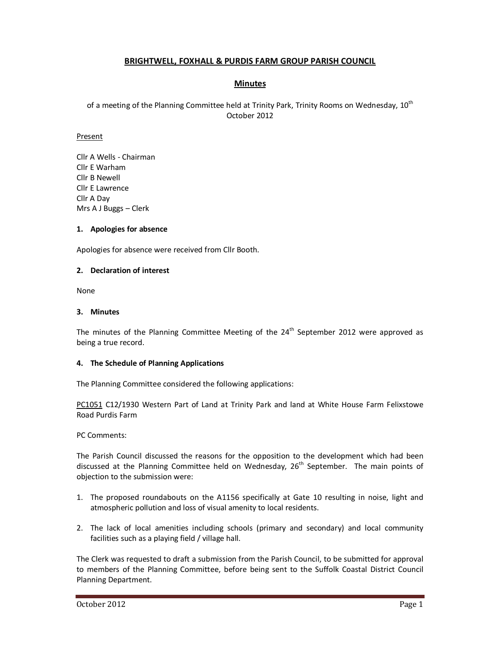# **BRIGHTWELL, FOXHALL & PURDIS FARM GROUP PARISH COUNCIL**

# **Minutes**

of a meeting of the Planning Committee held at Trinity Park, Trinity Rooms on Wednesday, 10<sup>th</sup> October 2012

### Present

Cllr A Wells - Chairman Cllr E Warham Cllr B Newell Cllr E Lawrence Cllr A Day Mrs A J Buggs – Clerk

## **1. Apologies for absence**

Apologies for absence were received from Cllr Booth.

## **2. Declaration of interest**

None

#### **3. Minutes**

The minutes of the Planning Committee Meeting of the  $24<sup>th</sup>$  September 2012 were approved as being a true record.

### **4. The Schedule of Planning Applications**

The Planning Committee considered the following applications:

PC1051 C12/1930 Western Part of Land at Trinity Park and land at White House Farm Felixstowe Road Purdis Farm

#### PC Comments:

The Parish Council discussed the reasons for the opposition to the development which had been discussed at the Planning Committee held on Wednesday,  $26<sup>th</sup>$  September. The main points of objection to the submission were:

- 1. The proposed roundabouts on the A1156 specifically at Gate 10 resulting in noise, light and atmospheric pollution and loss of visual amenity to local residents.
- 2. The lack of local amenities including schools (primary and secondary) and local community facilities such as a playing field / village hall.

The Clerk was requested to draft a submission from the Parish Council, to be submitted for approval to members of the Planning Committee, before being sent to the Suffolk Coastal District Council Planning Department.